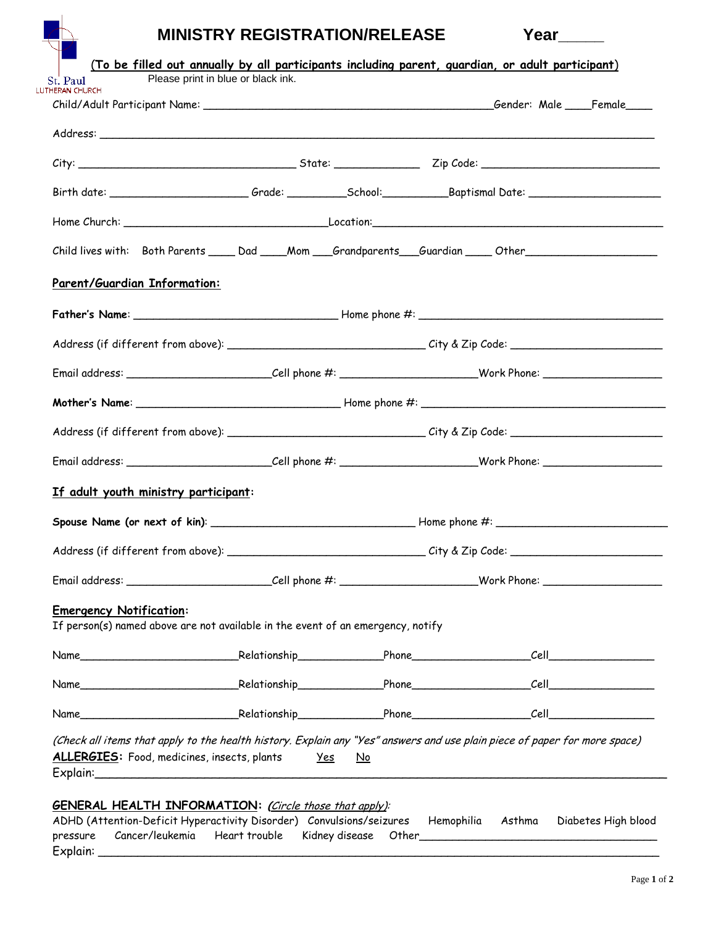| <b>MINISTRY REGISTRATION/RELEASE</b><br>Year |  |
|----------------------------------------------|--|
|----------------------------------------------|--|

| Child lives with: Both Parents _____ Dad ____Mom ___Grandparents ___Guardian _____Other _____________________     |  |  |  |  |                                |  |
|-------------------------------------------------------------------------------------------------------------------|--|--|--|--|--------------------------------|--|
| Parent/Guardian Information:                                                                                      |  |  |  |  |                                |  |
|                                                                                                                   |  |  |  |  |                                |  |
|                                                                                                                   |  |  |  |  |                                |  |
|                                                                                                                   |  |  |  |  |                                |  |
|                                                                                                                   |  |  |  |  |                                |  |
|                                                                                                                   |  |  |  |  |                                |  |
|                                                                                                                   |  |  |  |  |                                |  |
| If adult youth ministry participant:                                                                              |  |  |  |  |                                |  |
|                                                                                                                   |  |  |  |  |                                |  |
|                                                                                                                   |  |  |  |  |                                |  |
|                                                                                                                   |  |  |  |  |                                |  |
| <b>Emergency Notification:</b><br>If person(s) named above are not available in the event of an emergency, notify |  |  |  |  |                                |  |
|                                                                                                                   |  |  |  |  | <i>Cell___________________</i> |  |
|                                                                                                                   |  |  |  |  |                                |  |
|                                                                                                                   |  |  |  |  |                                |  |

### **GENERAL HEALTH INFORMATION: (**Circle those that apply):

|          |                                                             |  |  | ADHD (Attention-Deficit Hyperactivity Disorder) Convulsions/seizures Hemophilia Asthma Diabetes High blood |
|----------|-------------------------------------------------------------|--|--|------------------------------------------------------------------------------------------------------------|
|          | pressure Cancer/leukemia Heart trouble Kidney disease Other |  |  |                                                                                                            |
| Explain: |                                                             |  |  |                                                                                                            |